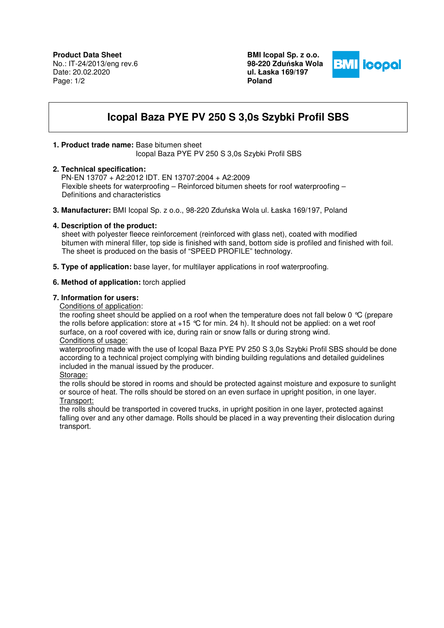**BMI Icopal Sp. z o.o. 98-220 Zdu**ń**ska Wola ul. Łaska 169/197 Poland** 



# **Icopal Baza PYE PV 250 S 3,0s Szybki Profil SBS**

## **1. Product trade name:** Base bitumen sheet

Icopal Baza PYE PV 250 S 3,0s Szybki Profil SBS

#### **2. Technical specification:**

 PN-EN 13707 + A2:2012 IDT. EN 13707:2004 + A2:2009 Flexible sheets for waterproofing – Reinforced bitumen sheets for roof waterproofing – Definitions and characteristics

**3. Manufacturer:** BMI Icopal Sp. z o.o., 98-220 Zduńska Wola ul. Łaska 169/197, Poland

## **4. Description of the product:**

 sheet with polyester fleece reinforcement (reinforced with glass net), coated with modified bitumen with mineral filler, top side is finished with sand, bottom side is profiled and finished with foil. The sheet is produced on the basis of "SPEED PROFILE" technology.

**5. Type of application:** base layer, for multilayer applications in roof waterproofing.

## **6. Method of application:** torch applied

#### **7. Information for users:**

Conditions of application:

the roofing sheet should be applied on a roof when the temperature does not fall below 0 °C (prepare the rolls before application: store at +15 °C for min. 24 h). It should not be applied: on a wet roof surface, on a roof covered with ice, during rain or snow falls or during strong wind.

## Conditions of usage:

waterproofing made with the use of Icopal Baza PYE PV 250 S 3,0s Szybki Profil SBS should be done according to a technical project complying with binding building regulations and detailed guidelines included in the manual issued by the producer.

Storage:

the rolls should be stored in rooms and should be protected against moisture and exposure to sunlight or source of heat. The rolls should be stored on an even surface in upright position, in one layer. Transport:

the rolls should be transported in covered trucks, in upright position in one layer, protected against falling over and any other damage. Rolls should be placed in a way preventing their dislocation during transport.